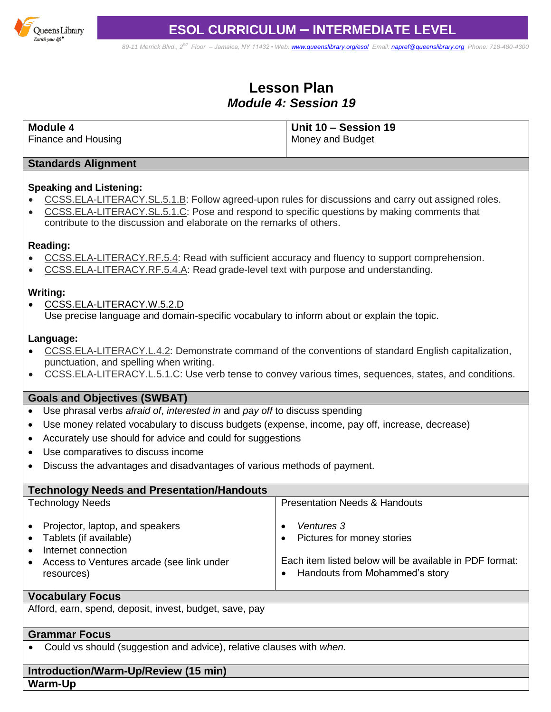

*89-11 Merrick Blvd., 2nd Floor – Jamaica, NY 11432 • Web[: www.queenslibrary.org/esol](http://www.queenslibrary.org/esol) Email: [napref@queenslibrary.org](mailto:napref@queenslibrary.org) Phone: 718-480-4300*

# **Lesson Plan** *Module 4: Session 19*

| $\vert$ Unit 10 – Session 19 |
|------------------------------|
| Money and Budget             |
|                              |

#### **Standards Alignment**

#### **Speaking and Listening:**

- [CCSS.ELA-LITERACY.SL.5.1.B:](http://www.corestandards.org/ELA-Literacy/SL/5/1/b/) Follow agreed-upon rules for discussions and carry out assigned roles.
- [CCSS.ELA-LITERACY.SL.5.1.C:](http://www.corestandards.org/ELA-Literacy/SL/5/1/c/) Pose and respond to specific questions by making comments that contribute to the discussion and elaborate on the remarks of others.

#### **Reading:**

- [CCSS.ELA-LITERACY.RF.5.4:](http://www.corestandards.org/ELA-Literacy/RF/5/4/) Read with sufficient accuracy and fluency to support comprehension.
- [CCSS.ELA-LITERACY.RF.5.4.A:](http://www.corestandards.org/ELA-Literacy/RF/5/4/a/) Read grade-level text with purpose and understanding.

#### **Writing:**

 [CCSS.ELA-LITERACY.W.5.2.D](http://www.corestandards.org/ELA-Literacy/W/5/2/d/) Use precise language and domain-specific vocabulary to inform about or explain the topic.

#### **Language:**

- [CCSS.ELA-LITERACY.L.4.2:](http://www.corestandards.org/ELA-Literacy/L/4/2/) Demonstrate command of the conventions of standard English capitalization, punctuation, and spelling when writing.
- [CCSS.ELA-LITERACY.L.5.1.C:](http://www.corestandards.org/ELA-Literacy/L/5/1/c/) Use verb tense to convey various times, sequences, states, and conditions.

# **Goals and Objectives (SWBAT)**

- Use phrasal verbs *afraid of*, *interested in* and *pay off* to discuss spending
- Use money related vocabulary to discuss budgets (expense, income, pay off, increase, decrease)
- Accurately use should for advice and could for suggestions
- Use comparatives to discuss income
- Discuss the advantages and disadvantages of various methods of payment.

| <b>Technology Needs and Presentation/Handouts</b>                                                                                                                         |                                                                                                                                       |
|---------------------------------------------------------------------------------------------------------------------------------------------------------------------------|---------------------------------------------------------------------------------------------------------------------------------------|
| <b>Technology Needs</b>                                                                                                                                                   | <b>Presentation Needs &amp; Handouts</b>                                                                                              |
| • Projector, laptop, and speakers<br>• Tablets (if available)<br>Internet connection<br>$\bullet$<br>Access to Ventures arcade (see link under<br>$\bullet$<br>resources) | Ventures 3<br>Pictures for money stories<br>Each item listed below will be available in PDF format:<br>Handouts from Mohammed's story |

#### **Vocabulary Focus**

Afford, earn, spend, deposit, invest, budget, save, pay

# **Grammar Focus**

Could vs should (suggestion and advice), relative clauses with *when.*

# **Introduction/Warm-Up/Review (15 min) Warm-Up**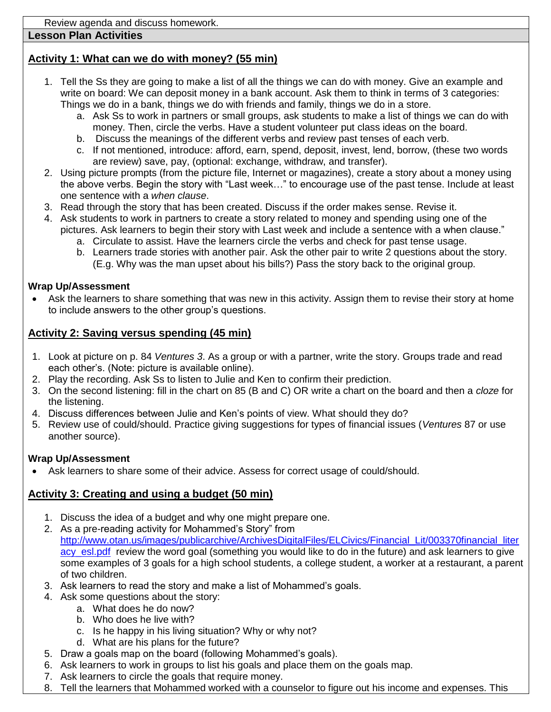# **Lesson Plan Activities**

# **Activity 1: What can we do with money? (55 min)**

- 1. Tell the Ss they are going to make a list of all the things we can do with money. Give an example and write on board: We can deposit money in a bank account. Ask them to think in terms of 3 categories: Things we do in a bank, things we do with friends and family, things we do in a store.
	- a. Ask Ss to work in partners or small groups, ask students to make a list of things we can do with money. Then, circle the verbs. Have a student volunteer put class ideas on the board.
	- b. Discuss the meanings of the different verbs and review past tenses of each verb.
	- c. If not mentioned, introduce: afford, earn, spend, deposit, invest, lend, borrow, (these two words are review) save, pay, (optional: exchange, withdraw, and transfer).
- 2. Using picture prompts (from the picture file, Internet or magazines), create a story about a money using the above verbs. Begin the story with "Last week…" to encourage use of the past tense. Include at least one sentence with a *when clause*.
- 3. Read through the story that has been created. Discuss if the order makes sense. Revise it.
- 4. Ask students to work in partners to create a story related to money and spending using one of the pictures. Ask learners to begin their story with Last week and include a sentence with a when clause."
	- a. Circulate to assist. Have the learners circle the verbs and check for past tense usage.
	- b. Learners trade stories with another pair. Ask the other pair to write 2 questions about the story. (E.g. Why was the man upset about his bills?) Pass the story back to the original group.

# **Wrap Up/Assessment**

 Ask the learners to share something that was new in this activity. Assign them to revise their story at home to include answers to the other group's questions.

# **Activity 2: Saving versus spending (45 min)**

- 1. Look at picture on p. 84 *Ventures 3*. As a group or with a partner, write the story. Groups trade and read each other's. (Note: picture is available online).
- 2. Play the recording. Ask Ss to listen to Julie and Ken to confirm their prediction.
- 3. On the second listening: fill in the chart on 85 (B and C) OR write a chart on the board and then a *cloze* for the listening.
- 4. Discuss differences between Julie and Ken's points of view. What should they do?
- 5. Review use of could/should. Practice giving suggestions for types of financial issues (*Ventures* 87 or use another source).

# **Wrap Up/Assessment**

Ask learners to share some of their advice. Assess for correct usage of could/should.

# **Activity 3: Creating and using a budget (50 min)**

- 1. Discuss the idea of a budget and why one might prepare one.
- 2. As a pre-reading activity for Mohammed's Story" from [http://www.otan.us/images/publicarchive/ArchivesDigitalFiles/ELCivics/Financial\\_Lit/003370financial\\_liter](http://www.otan.us/images/publicarchive/ArchivesDigitalFiles/ELCivics/Financial_Lit/003370financial_literacy_esl.pdf) acy esl.pdf review the word goal (something you would like to do in the future) and ask learners to give some examples of 3 goals for a high school students, a college student, a worker at a restaurant, a parent of two children.
- 3. Ask learners to read the story and make a list of Mohammed's goals.
- 4. Ask some questions about the story:
	- a. What does he do now?
	- b. Who does he live with?
	- c. Is he happy in his living situation? Why or why not?
	- d. What are his plans for the future?
- 5. Draw a goals map on the board (following Mohammed's goals).
- 6. Ask learners to work in groups to list his goals and place them on the goals map.
- 7. Ask learners to circle the goals that require money.
- 8. Tell the learners that Mohammed worked with a counselor to figure out his income and expenses. This